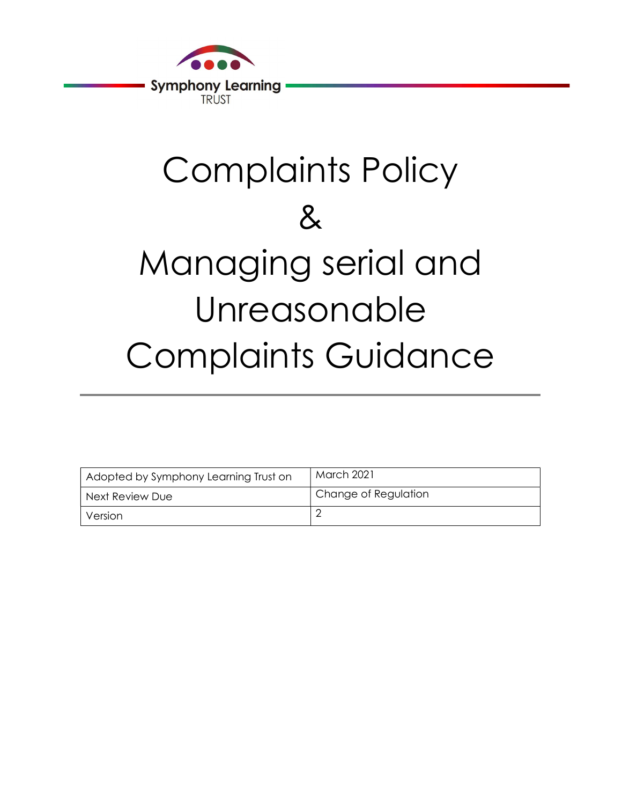

# Complaints Policy & Managing serial and Unreasonable Complaints Guidance

| Adopted by Symphony Learning Trust on | March 2021           |
|---------------------------------------|----------------------|
| Next Review Due                       | Change of Regulation |
| Version                               |                      |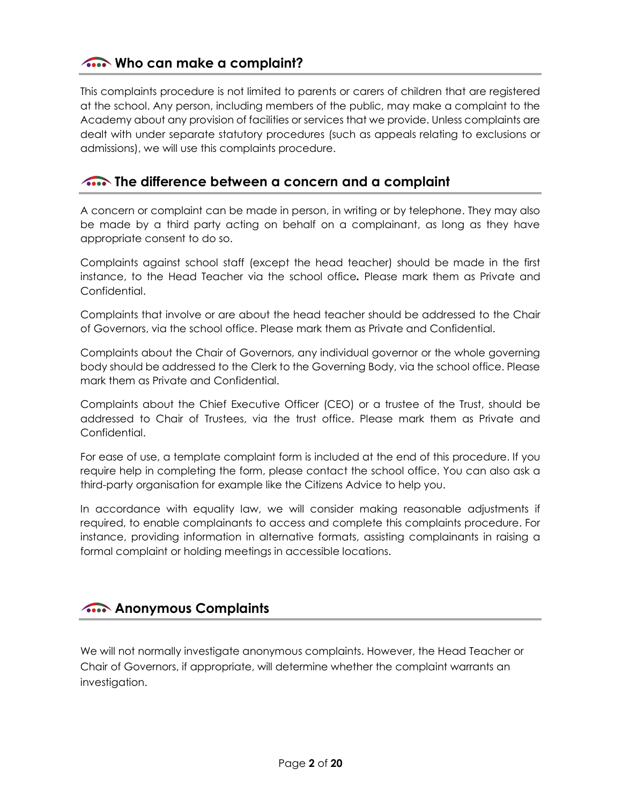## Who can make a complaint?

This complaints procedure is not limited to parents or carers of children that are registered at the school. Any person, including members of the public, may make a complaint to the Academy about any provision of facilities or services that we provide. Unless complaints are dealt with under separate statutory procedures (such as appeals relating to exclusions or admissions), we will use this complaints procedure.

#### The difference between a concern and a complaint

A concern or complaint can be made in person, in writing or by telephone. They may also be made by a third party acting on behalf on a complainant, as long as they have appropriate consent to do so.

Complaints against school staff (except the head teacher) should be made in the first instance, to the Head Teacher via the school office. Please mark them as Private and Confidential.

Complaints that involve or are about the head teacher should be addressed to the Chair of Governors, via the school office. Please mark them as Private and Confidential.

Complaints about the Chair of Governors, any individual governor or the whole governing body should be addressed to the Clerk to the Governing Body, via the school office. Please mark them as Private and Confidential.

Complaints about the Chief Executive Officer (CEO) or a trustee of the Trust, should be addressed to Chair of Trustees, via the trust office. Please mark them as Private and Confidential.

For ease of use, a template complaint form is included at the end of this procedure. If you require help in completing the form, please contact the school office. You can also ask a third-party organisation for example like the Citizens Advice to help you.

In accordance with equality law, we will consider making reasonable adjustments if required, to enable complainants to access and complete this complaints procedure. For instance, providing information in alternative formats, assisting complainants in raising a formal complaint or holding meetings in accessible locations.

## **Anonymous Complaints**

We will not normally investigate anonymous complaints. However, the Head Teacher or Chair of Governors, if appropriate, will determine whether the complaint warrants an investigation.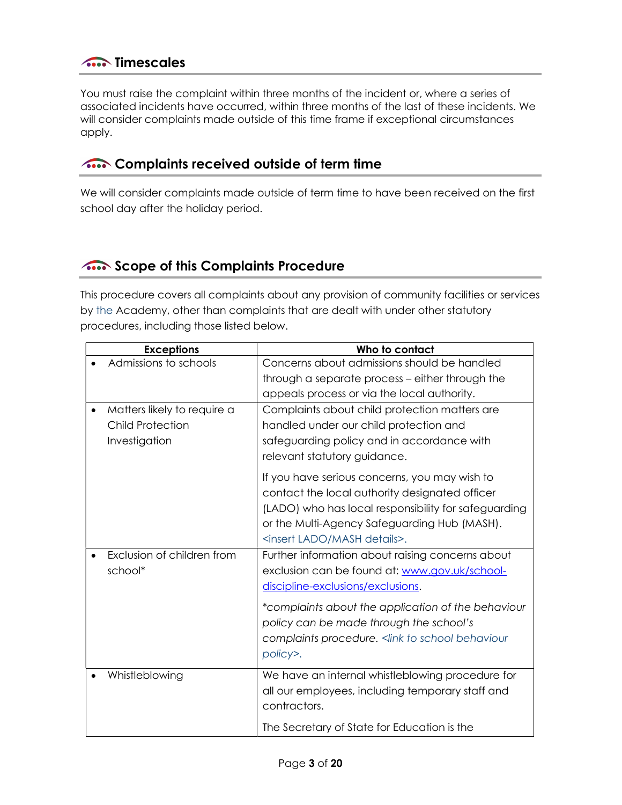You must raise the complaint within three months of the incident or, where a series of associated incidents have occurred, within three months of the last of these incidents. We will consider complaints made outside of this time frame if exceptional circumstances apply.

## **A.** Complaints received outside of term time

We will consider complaints made outside of term time to have been received on the first school day after the holiday period.

## **Scope of this Complaints Procedure**

This procedure covers all complaints about any provision of community facilities or services by the Academy, other than complaints that are dealt with under other statutory procedures, including those listed below.

| <b>Exceptions</b>                                                       | Who to contact                                                                                                                                                                                                                                           |
|-------------------------------------------------------------------------|----------------------------------------------------------------------------------------------------------------------------------------------------------------------------------------------------------------------------------------------------------|
| Admissions to schools                                                   | Concerns about admissions should be handled                                                                                                                                                                                                              |
|                                                                         | through a separate process - either through the                                                                                                                                                                                                          |
|                                                                         | appeals process or via the local authority.                                                                                                                                                                                                              |
| Matters likely to require a<br><b>Child Protection</b><br>Investigation | Complaints about child protection matters are<br>handled under our child protection and<br>safeguarding policy and in accordance with                                                                                                                    |
|                                                                         | relevant statutory guidance.                                                                                                                                                                                                                             |
|                                                                         | If you have serious concerns, you may wish to<br>contact the local authority designated officer<br>(LADO) who has local responsibility for safeguarding<br>or the Multi-Agency Safeguarding Hub (MASH).<br><insert details="" lado="" mash="">.</insert> |
| Exclusion of children from<br>school*                                   | Further information about raising concerns about<br>exclusion can be found at: www.gov.uk/school-<br>discipline-exclusions/exclusions.                                                                                                                   |
|                                                                         | *complaints about the application of the behaviour<br>policy can be made through the school's<br>complaints procedure. < link to school behaviour<br>policy>.                                                                                            |
| Whistleblowing                                                          | We have an internal whistleblowing procedure for<br>all our employees, including temporary staff and<br>contractors.                                                                                                                                     |
|                                                                         | The Secretary of State for Education is the                                                                                                                                                                                                              |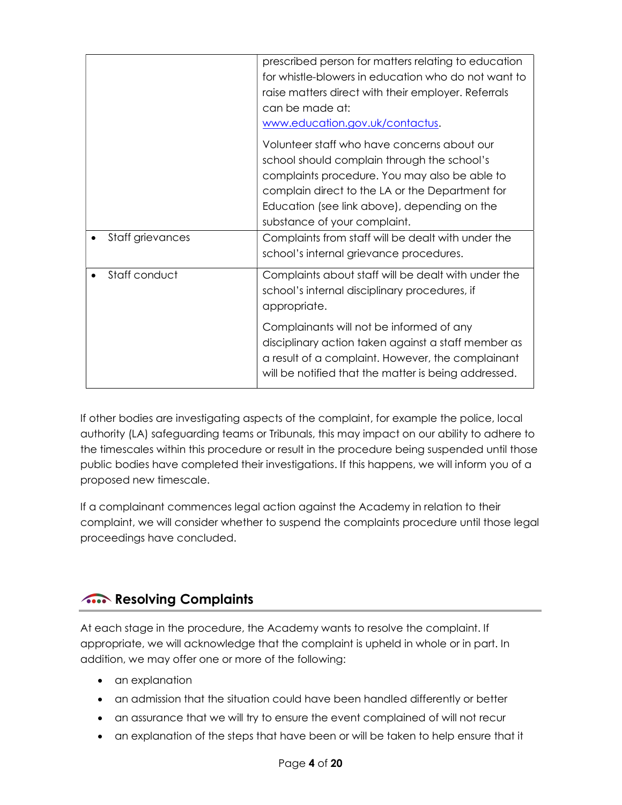|                  | prescribed person for matters relating to education<br>for whistle-blowers in education who do not want to<br>raise matters direct with their employer. Referrals<br>can be made at:<br>www.education.gov.uk/contactus.                                                        |
|------------------|--------------------------------------------------------------------------------------------------------------------------------------------------------------------------------------------------------------------------------------------------------------------------------|
|                  | Volunteer staff who have concerns about our<br>school should complain through the school's<br>complaints procedure. You may also be able to<br>complain direct to the LA or the Department for<br>Education (see link above), depending on the<br>substance of your complaint. |
| Staff grievances | Complaints from staff will be dealt with under the<br>school's internal grievance procedures.                                                                                                                                                                                  |
| Staff conduct    | Complaints about staff will be dealt with under the<br>school's internal disciplinary procedures, if<br>appropriate.                                                                                                                                                           |
|                  | Complainants will not be informed of any<br>disciplinary action taken against a staff member as<br>a result of a complaint. However, the complainant<br>will be notified that the matter is being addressed.                                                                   |

If other bodies are investigating aspects of the complaint, for example the police, local authority (LA) safeguarding teams or Tribunals, this may impact on our ability to adhere to the timescales within this procedure or result in the procedure being suspended until those public bodies have completed their investigations. If this happens, we will inform you of a proposed new timescale.

If a complainant commences legal action against the Academy in relation to their complaint, we will consider whether to suspend the complaints procedure until those legal proceedings have concluded.

# **A.** Resolving Complaints

At each stage in the procedure, the Academy wants to resolve the complaint. If appropriate, we will acknowledge that the complaint is upheld in whole or in part. In addition, we may offer one or more of the following:

- an explanation
- an admission that the situation could have been handled differently or better
- an assurance that we will try to ensure the event complained of will not recur
- an explanation of the steps that have been or will be taken to help ensure that it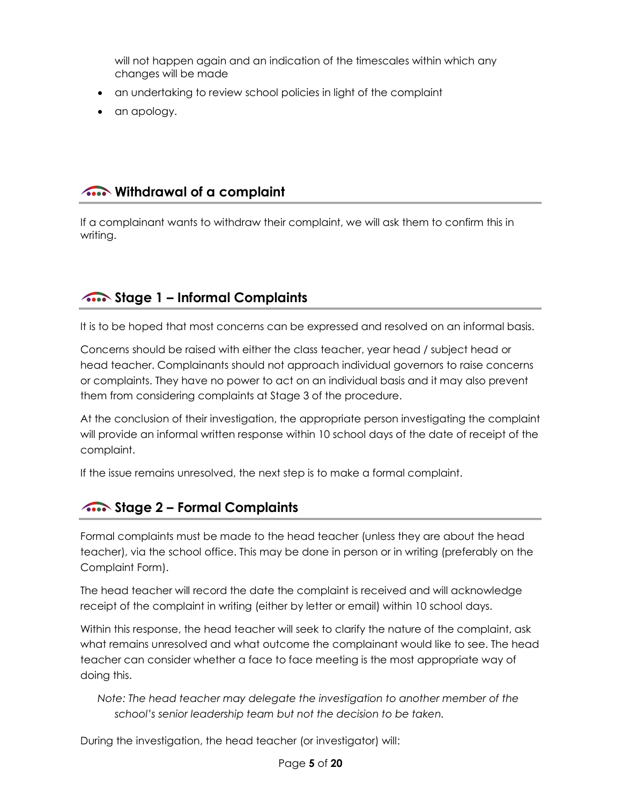will not happen again and an indication of the timescales within which any changes will be made

- an undertaking to review school policies in light of the complaint
- an apology.

## **A.** Withdrawal of a complaint

If a complainant wants to withdraw their complaint, we will ask them to confirm this in writing.

# **Stage 1 – Informal Complaints**

It is to be hoped that most concerns can be expressed and resolved on an informal basis.

Concerns should be raised with either the class teacher, year head / subject head or head teacher. Complainants should not approach individual governors to raise concerns or complaints. They have no power to act on an individual basis and it may also prevent them from considering complaints at Stage 3 of the procedure.

At the conclusion of their investigation, the appropriate person investigating the complaint will provide an informal written response within 10 school days of the date of receipt of the complaint.

If the issue remains unresolved, the next step is to make a formal complaint.

## **Stage 2 – Formal Complaints**

Formal complaints must be made to the head teacher (unless they are about the head teacher), via the school office. This may be done in person or in writing (preferably on the Complaint Form).

The head teacher will record the date the complaint is received and will acknowledge receipt of the complaint in writing (either by letter or email) within 10 school days.

Within this response, the head teacher will seek to clarify the nature of the complaint, ask what remains unresolved and what outcome the complainant would like to see. The head teacher can consider whether a face to face meeting is the most appropriate way of doing this.

Note: The head teacher may delegate the investigation to another member of the school's senior leadership team but not the decision to be taken.

During the investigation, the head teacher (or investigator) will: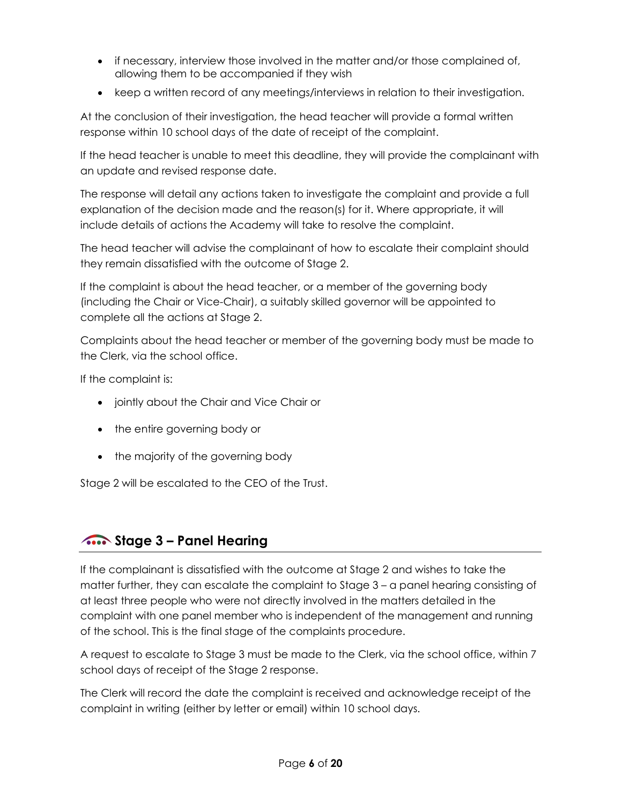- if necessary, interview those involved in the matter and/or those complained of, allowing them to be accompanied if they wish
- keep a written record of any meetings/interviews in relation to their investigation.

At the conclusion of their investigation, the head teacher will provide a formal written response within 10 school days of the date of receipt of the complaint.

If the head teacher is unable to meet this deadline, they will provide the complainant with an update and revised response date.

The response will detail any actions taken to investigate the complaint and provide a full explanation of the decision made and the reason(s) for it. Where appropriate, it will include details of actions the Academy will take to resolve the complaint.

The head teacher will advise the complainant of how to escalate their complaint should they remain dissatisfied with the outcome of Stage 2.

If the complaint is about the head teacher, or a member of the governing body (including the Chair or Vice-Chair), a suitably skilled governor will be appointed to complete all the actions at Stage 2.

Complaints about the head teacher or member of the governing body must be made to the Clerk, via the school office.

If the complaint is:

- jointly about the Chair and Vice Chair or
- the entire governing body or
- the majority of the governing body

Stage 2 will be escalated to the CEO of the Trust.

## **A.** Stage 3 – Panel Hearing

If the complainant is dissatisfied with the outcome at Stage 2 and wishes to take the matter further, they can escalate the complaint to Stage 3 – a panel hearing consisting of at least three people who were not directly involved in the matters detailed in the complaint with one panel member who is independent of the management and running of the school. This is the final stage of the complaints procedure.

A request to escalate to Stage 3 must be made to the Clerk, via the school office, within 7 school days of receipt of the Stage 2 response.

The Clerk will record the date the complaint is received and acknowledge receipt of the complaint in writing (either by letter or email) within 10 school days.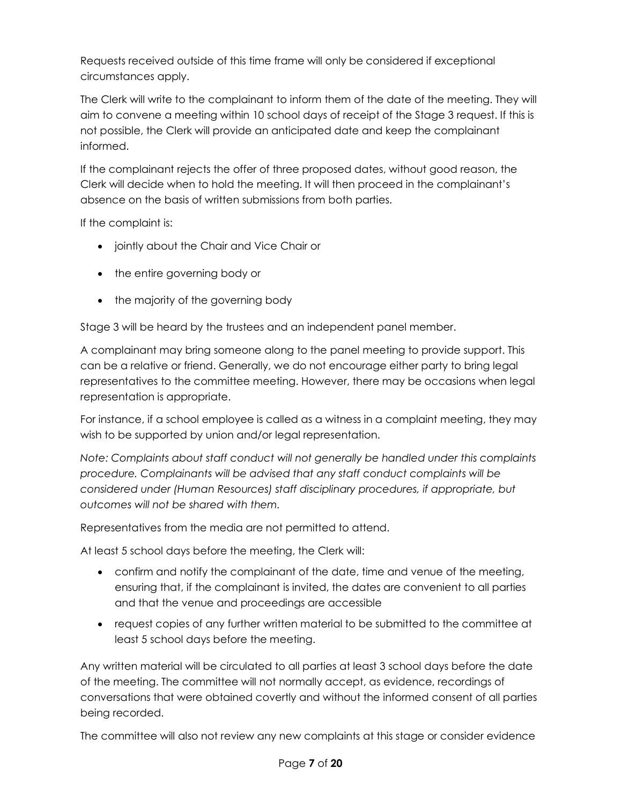Requests received outside of this time frame will only be considered if exceptional circumstances apply.

The Clerk will write to the complainant to inform them of the date of the meeting. They will aim to convene a meeting within 10 school days of receipt of the Stage 3 request. If this is not possible, the Clerk will provide an anticipated date and keep the complainant informed.

If the complainant rejects the offer of three proposed dates, without good reason, the Clerk will decide when to hold the meeting. It will then proceed in the complainant's absence on the basis of written submissions from both parties.

If the complaint is:

- jointly about the Chair and Vice Chair or
- the entire governing body or
- the majority of the governing body

Stage 3 will be heard by the trustees and an independent panel member.

A complainant may bring someone along to the panel meeting to provide support. This can be a relative or friend. Generally, we do not encourage either party to bring legal representatives to the committee meeting. However, there may be occasions when legal representation is appropriate.

For instance, if a school employee is called as a witness in a complaint meeting, they may wish to be supported by union and/or legal representation.

Note: Complaints about staff conduct will not generally be handled under this complaints procedure. Complainants will be advised that any staff conduct complaints will be considered under (Human Resources) staff disciplinary procedures, if appropriate, but outcomes will not be shared with them.

Representatives from the media are not permitted to attend.

At least 5 school days before the meeting, the Clerk will:

- confirm and notify the complainant of the date, time and venue of the meeting, ensuring that, if the complainant is invited, the dates are convenient to all parties and that the venue and proceedings are accessible
- request copies of any further written material to be submitted to the committee at least 5 school days before the meeting.

Any written material will be circulated to all parties at least 3 school days before the date of the meeting. The committee will not normally accept, as evidence, recordings of conversations that were obtained covertly and without the informed consent of all parties being recorded.

The committee will also not review any new complaints at this stage or consider evidence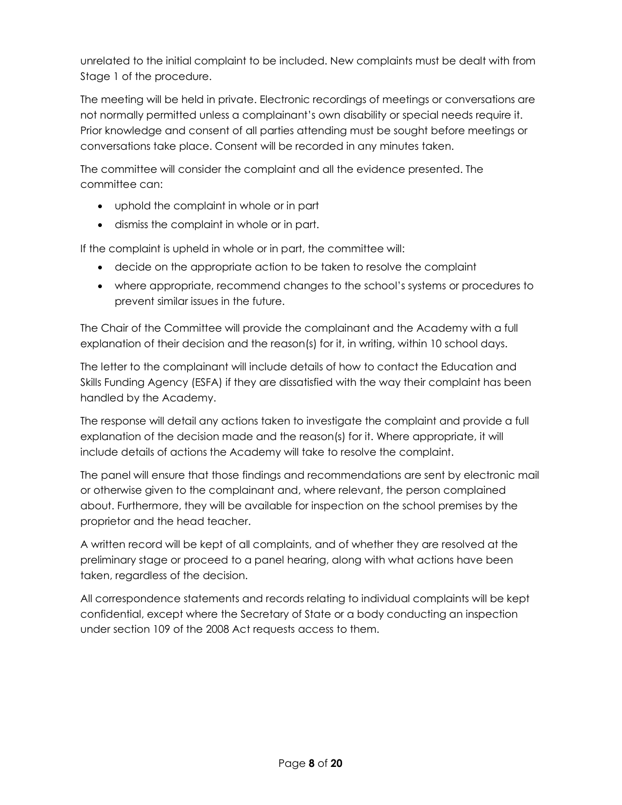unrelated to the initial complaint to be included. New complaints must be dealt with from Stage 1 of the procedure.

The meeting will be held in private. Electronic recordings of meetings or conversations are not normally permitted unless a complainant's own disability or special needs require it. Prior knowledge and consent of all parties attending must be sought before meetings or conversations take place. Consent will be recorded in any minutes taken.

The committee will consider the complaint and all the evidence presented. The committee can:

- uphold the complaint in whole or in part
- dismiss the complaint in whole or in part.

If the complaint is upheld in whole or in part, the committee will:

- decide on the appropriate action to be taken to resolve the complaint
- where appropriate, recommend changes to the school's systems or procedures to prevent similar issues in the future.

The Chair of the Committee will provide the complainant and the Academy with a full explanation of their decision and the reason(s) for it, in writing, within 10 school days.

The letter to the complainant will include details of how to contact the Education and Skills Funding Agency (ESFA) if they are dissatisfied with the way their complaint has been handled by the Academy.

The response will detail any actions taken to investigate the complaint and provide a full explanation of the decision made and the reason(s) for it. Where appropriate, it will include details of actions the Academy will take to resolve the complaint.

The panel will ensure that those findings and recommendations are sent by electronic mail or otherwise given to the complainant and, where relevant, the person complained about. Furthermore, they will be available for inspection on the school premises by the proprietor and the head teacher.

A written record will be kept of all complaints, and of whether they are resolved at the preliminary stage or proceed to a panel hearing, along with what actions have been taken, regardless of the decision.

All correspondence statements and records relating to individual complaints will be kept confidential, except where the Secretary of State or a body conducting an inspection under section 109 of the 2008 Act requests access to them.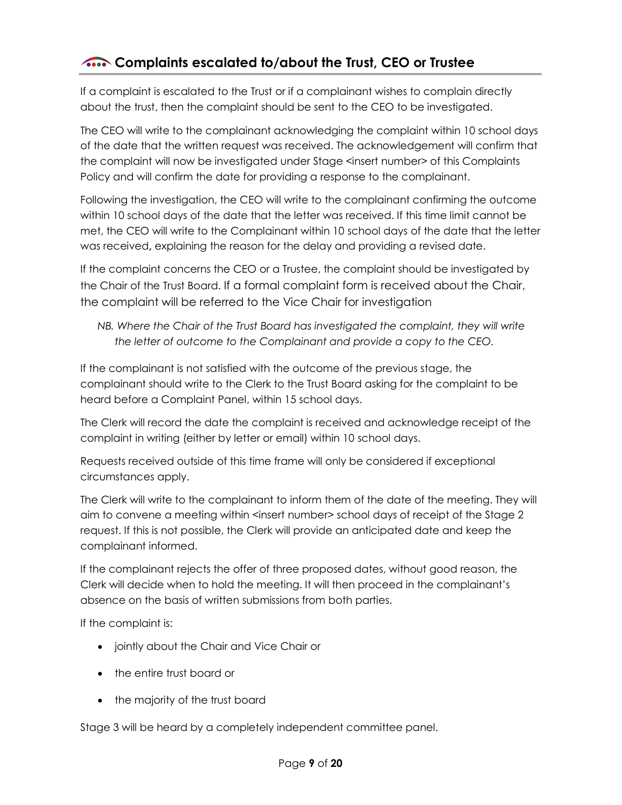# **A.** Complaints escalated to/about the Trust, CEO or Trustee

If a complaint is escalated to the Trust or if a complainant wishes to complain directly about the trust, then the complaint should be sent to the CEO to be investigated.

The CEO will write to the complainant acknowledging the complaint within 10 school days of the date that the written request was received. The acknowledgement will confirm that the complaint will now be investigated under Stage <insert number> of this Complaints Policy and will confirm the date for providing a response to the complainant.

Following the investigation, the CEO will write to the complainant confirming the outcome within 10 school days of the date that the letter was received. If this time limit cannot be met, the CEO will write to the Complainant within 10 school days of the date that the letter was received, explaining the reason for the delay and providing a revised date.

If the complaint concerns the CEO or a Trustee, the complaint should be investigated by the Chair of the Trust Board. If a formal complaint form is received about the Chair, the complaint will be referred to the Vice Chair for investigation

NB. Where the Chair of the Trust Board has investigated the complaint, they will write the letter of outcome to the Complainant and provide a copy to the CEO.

If the complainant is not satisfied with the outcome of the previous stage, the complainant should write to the Clerk to the Trust Board asking for the complaint to be heard before a Complaint Panel, within 15 school days.

The Clerk will record the date the complaint is received and acknowledge receipt of the complaint in writing (either by letter or email) within 10 school days.

Requests received outside of this time frame will only be considered if exceptional circumstances apply.

The Clerk will write to the complainant to inform them of the date of the meeting. They will aim to convene a meeting within <insert number> school days of receipt of the Stage 2 request. If this is not possible, the Clerk will provide an anticipated date and keep the complainant informed.

If the complainant rejects the offer of three proposed dates, without good reason, the Clerk will decide when to hold the meeting. It will then proceed in the complainant's absence on the basis of written submissions from both parties.

If the complaint is:

- jointly about the Chair and Vice Chair or
- the entire trust board or
- the majority of the trust board

Stage 3 will be heard by a completely independent committee panel.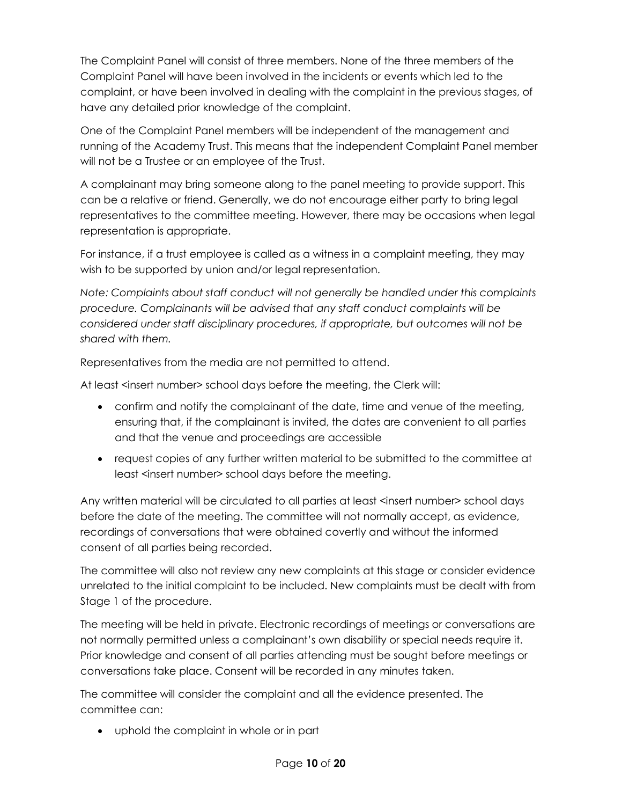The Complaint Panel will consist of three members. None of the three members of the Complaint Panel will have been involved in the incidents or events which led to the complaint, or have been involved in dealing with the complaint in the previous stages, of have any detailed prior knowledge of the complaint.

One of the Complaint Panel members will be independent of the management and running of the Academy Trust. This means that the independent Complaint Panel member will not be a Trustee or an employee of the Trust.

A complainant may bring someone along to the panel meeting to provide support. This can be a relative or friend. Generally, we do not encourage either party to bring legal representatives to the committee meeting. However, there may be occasions when legal representation is appropriate.

For instance, if a trust employee is called as a witness in a complaint meeting, they may wish to be supported by union and/or legal representation.

Note: Complaints about staff conduct will not generally be handled under this complaints procedure. Complainants will be advised that any staff conduct complaints will be considered under staff disciplinary procedures, if appropriate, but outcomes will not be shared with them.

Representatives from the media are not permitted to attend.

At least <insert number> school days before the meeting, the Clerk will:

- confirm and notify the complainant of the date, time and venue of the meeting, ensuring that, if the complainant is invited, the dates are convenient to all parties and that the venue and proceedings are accessible
- request copies of any further written material to be submitted to the committee at least <insert number> school days before the meeting.

Any written material will be circulated to all parties at least <insert number> school days before the date of the meeting. The committee will not normally accept, as evidence, recordings of conversations that were obtained covertly and without the informed consent of all parties being recorded.

The committee will also not review any new complaints at this stage or consider evidence unrelated to the initial complaint to be included. New complaints must be dealt with from Stage 1 of the procedure.

The meeting will be held in private. Electronic recordings of meetings or conversations are not normally permitted unless a complainant's own disability or special needs require it. Prior knowledge and consent of all parties attending must be sought before meetings or conversations take place. Consent will be recorded in any minutes taken.

The committee will consider the complaint and all the evidence presented. The committee can:

uphold the complaint in whole or in part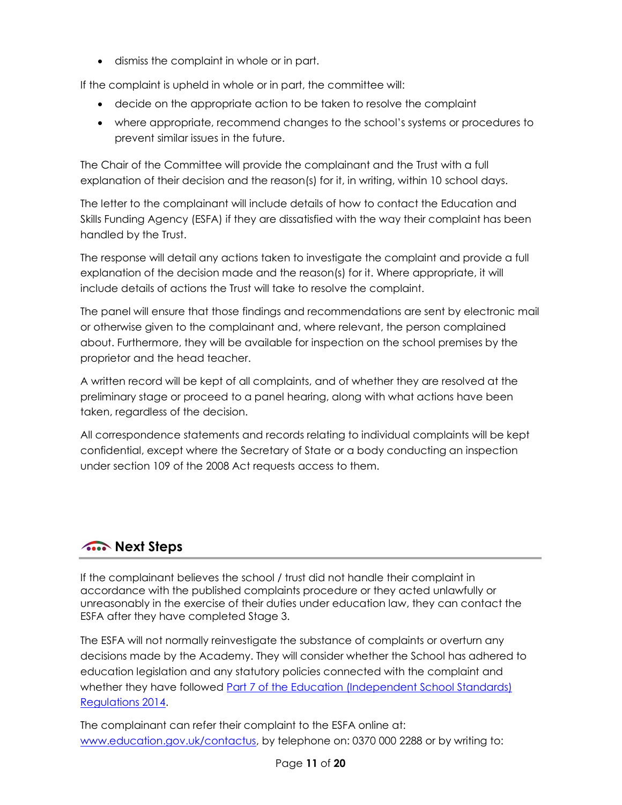dismiss the complaint in whole or in part.

If the complaint is upheld in whole or in part, the committee will:

- decide on the appropriate action to be taken to resolve the complaint
- where appropriate, recommend changes to the school's systems or procedures to prevent similar issues in the future.

The Chair of the Committee will provide the complainant and the Trust with a full explanation of their decision and the reason(s) for it, in writing, within 10 school days.

The letter to the complainant will include details of how to contact the Education and Skills Funding Agency (ESFA) if they are dissatisfied with the way their complaint has been handled by the Trust.

The response will detail any actions taken to investigate the complaint and provide a full explanation of the decision made and the reason(s) for it. Where appropriate, it will include details of actions the Trust will take to resolve the complaint.

The panel will ensure that those findings and recommendations are sent by electronic mail or otherwise given to the complainant and, where relevant, the person complained about. Furthermore, they will be available for inspection on the school premises by the proprietor and the head teacher.

A written record will be kept of all complaints, and of whether they are resolved at the preliminary stage or proceed to a panel hearing, along with what actions have been taken, regardless of the decision.

All correspondence statements and records relating to individual complaints will be kept confidential, except where the Secretary of State or a body conducting an inspection under section 109 of the 2008 Act requests access to them.

# **Allen Steps**

If the complainant believes the school / trust did not handle their complaint in accordance with the published complaints procedure or they acted unlawfully or unreasonably in the exercise of their duties under education law, they can contact the ESFA after they have completed Stage 3.

The ESFA will not normally reinvestigate the substance of complaints or overturn any decisions made by the Academy. They will consider whether the School has adhered to education legislation and any statutory policies connected with the complaint and whether they have followed Part 7 of the Education (Independent School Standards) Regulations 2014.

The complainant can refer their complaint to the ESFA online at: www.education.gov.uk/contactus, by telephone on: 0370 000 2288 or by writing to: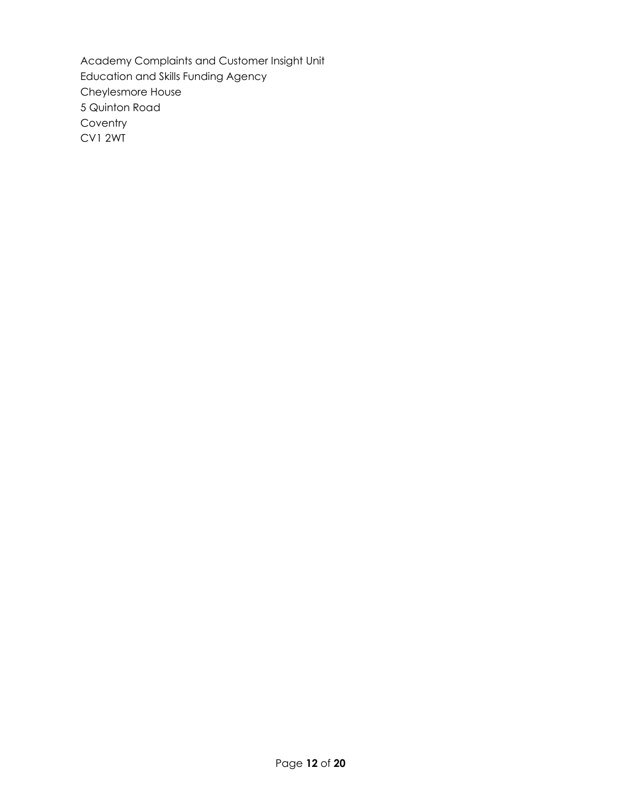Academy Complaints and Customer Insight Unit Education and Skills Funding Agency Cheylesmore House 5 Quinton Road **Coventry** CV1 2WT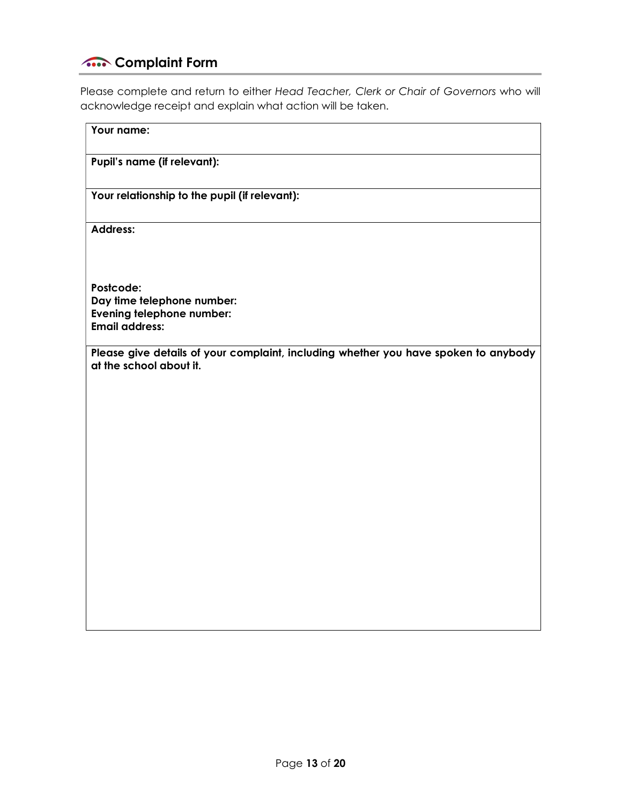# **Complaint Form**

Please complete and return to either Head Teacher, Clerk or Chair of Governors who will acknowledge receipt and explain what action will be taken.

| Your name:                                                                                                     |
|----------------------------------------------------------------------------------------------------------------|
| Pupil's name (if relevant):                                                                                    |
| Your relationship to the pupil (if relevant):                                                                  |
| <b>Address:</b>                                                                                                |
| Postcode:                                                                                                      |
| Day time telephone number:                                                                                     |
| Evening telephone number:<br><b>Email address:</b>                                                             |
|                                                                                                                |
| Please give details of your complaint, including whether you have spoken to anybody<br>at the school about it. |
|                                                                                                                |
|                                                                                                                |
|                                                                                                                |
|                                                                                                                |
|                                                                                                                |
|                                                                                                                |
|                                                                                                                |
|                                                                                                                |
|                                                                                                                |
|                                                                                                                |
|                                                                                                                |
|                                                                                                                |
|                                                                                                                |
|                                                                                                                |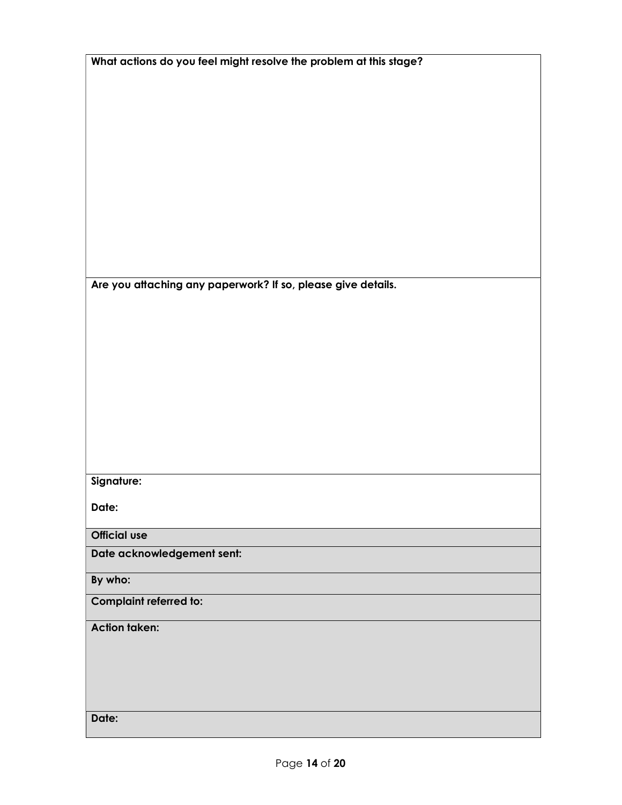| What actions do you feel might resolve the problem at this stage? |
|-------------------------------------------------------------------|
|                                                                   |
|                                                                   |
|                                                                   |
|                                                                   |
|                                                                   |
|                                                                   |
|                                                                   |
|                                                                   |
|                                                                   |
|                                                                   |
| Are you attaching any paperwork? If so, please give details.      |
|                                                                   |
|                                                                   |
|                                                                   |
|                                                                   |
|                                                                   |
|                                                                   |
|                                                                   |
|                                                                   |
|                                                                   |
| Signature:                                                        |
| Date:                                                             |
| <b>Official use</b>                                               |
| Date acknowledgement sent:                                        |
|                                                                   |
| By who:                                                           |
| Complaint referred to:                                            |
| <b>Action taken:</b>                                              |
|                                                                   |
|                                                                   |
|                                                                   |
|                                                                   |
| Date:                                                             |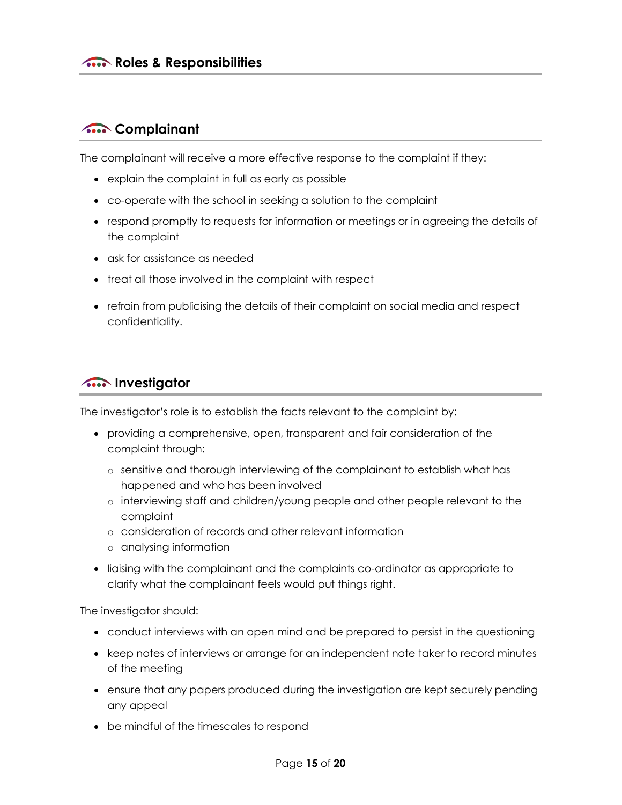## **A.** Complainant

The complainant will receive a more effective response to the complaint if they:

- explain the complaint in full as early as possible
- co-operate with the school in seeking a solution to the complaint
- respond promptly to requests for information or meetings or in agreeing the details of the complaint
- ask for assistance as needed
- treat all those involved in the complaint with respect
- refrain from publicising the details of their complaint on social media and respect confidentiality.

## **Allen Strategier**

The investigator's role is to establish the facts relevant to the complaint by:

- providing a comprehensive, open, transparent and fair consideration of the complaint through:
	- o sensitive and thorough interviewing of the complainant to establish what has happened and who has been involved
	- o interviewing staff and children/young people and other people relevant to the complaint
	- o consideration of records and other relevant information
	- o analysing information
- liaising with the complainant and the complaints co-ordinator as appropriate to clarify what the complainant feels would put things right.

The investigator should:

- conduct interviews with an open mind and be prepared to persist in the questioning
- keep notes of interviews or arrange for an independent note taker to record minutes of the meeting
- ensure that any papers produced during the investigation are kept securely pending any appeal
- be mindful of the timescales to respond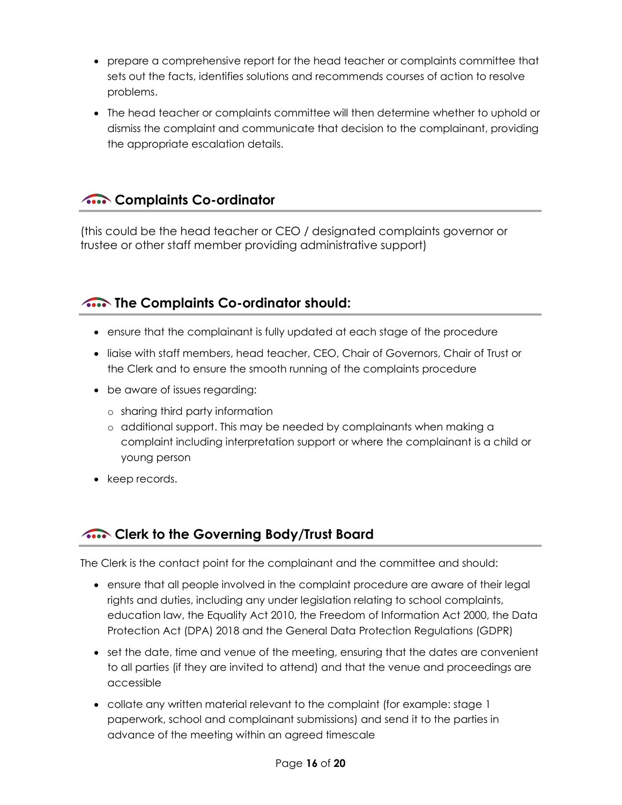- prepare a comprehensive report for the head teacher or complaints committee that sets out the facts, identifies solutions and recommends courses of action to resolve problems.
- The head teacher or complaints committee will then determine whether to uphold or dismiss the complaint and communicate that decision to the complainant, providing the appropriate escalation details.

## **A.** Complaints Co-ordinator

(this could be the head teacher or CEO / designated complaints governor or trustee or other staff member providing administrative support)

# The Complaints Co-ordinator should:

- ensure that the complainant is fully updated at each stage of the procedure
- liaise with staff members, head teacher, CEO, Chair of Governors, Chair of Trust or the Clerk and to ensure the smooth running of the complaints procedure
- be aware of issues regarding:
	- o sharing third party information
	- o additional support. This may be needed by complainants when making a complaint including interpretation support or where the complainant is a child or young person
- keep records.

## **Also Clerk to the Governing Body/Trust Board**

The Clerk is the contact point for the complainant and the committee and should:

- ensure that all people involved in the complaint procedure are aware of their legal rights and duties, including any under legislation relating to school complaints, education law, the Equality Act 2010, the Freedom of Information Act 2000, the Data Protection Act (DPA) 2018 and the General Data Protection Regulations (GDPR)
- set the date, time and venue of the meeting, ensuring that the dates are convenient to all parties (if they are invited to attend) and that the venue and proceedings are accessible
- collate any written material relevant to the complaint (for example: stage 1 paperwork, school and complainant submissions) and send it to the parties in advance of the meeting within an agreed timescale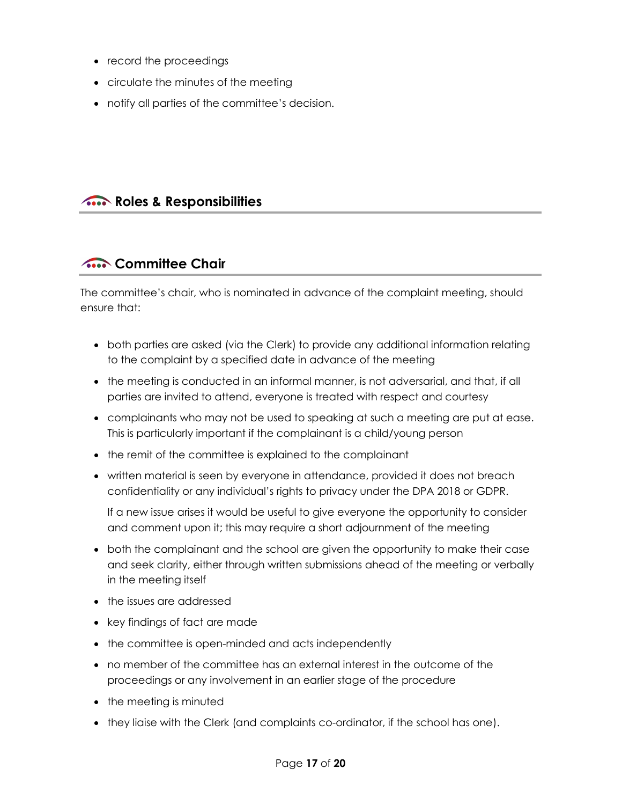- record the proceedings
- circulate the minutes of the meeting
- notify all parties of the committee's decision.

## **A.** Roles & Responsibilities

# **A.** Committee Chair

The committee's chair, who is nominated in advance of the complaint meeting, should ensure that:

- both parties are asked (via the Clerk) to provide any additional information relating to the complaint by a specified date in advance of the meeting
- the meeting is conducted in an informal manner, is not adversarial, and that, if all parties are invited to attend, everyone is treated with respect and courtesy
- complainants who may not be used to speaking at such a meeting are put at ease. This is particularly important if the complainant is a child/young person
- the remit of the committee is explained to the complainant
- written material is seen by everyone in attendance, provided it does not breach confidentiality or any individual's rights to privacy under the DPA 2018 or GDPR.

If a new issue arises it would be useful to give everyone the opportunity to consider and comment upon it; this may require a short adjournment of the meeting

- both the complainant and the school are given the opportunity to make their case and seek clarity, either through written submissions ahead of the meeting or verbally in the meeting itself
- the issues are addressed
- key findings of fact are made
- the committee is open-minded and acts independently
- no member of the committee has an external interest in the outcome of the proceedings or any involvement in an earlier stage of the procedure
- the meeting is minuted
- they liaise with the Clerk (and complaints co-ordinator, if the school has one).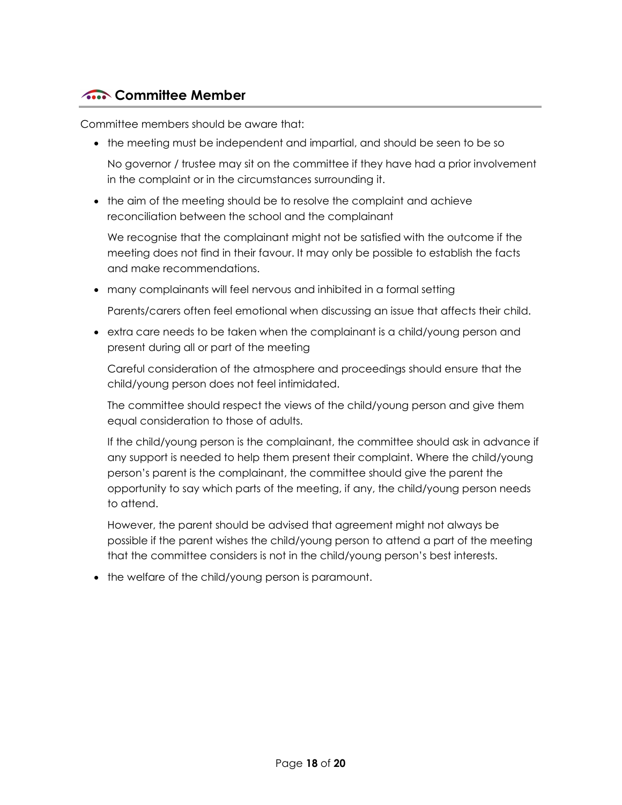## **A.** Committee Member

Committee members should be aware that:

the meeting must be independent and impartial, and should be seen to be so

No governor / trustee may sit on the committee if they have had a prior involvement in the complaint or in the circumstances surrounding it.

• the aim of the meeting should be to resolve the complaint and achieve reconciliation between the school and the complainant

We recognise that the complainant might not be satisfied with the outcome if the meeting does not find in their favour. It may only be possible to establish the facts and make recommendations.

many complainants will feel nervous and inhibited in a formal setting

Parents/carers often feel emotional when discussing an issue that affects their child.

 extra care needs to be taken when the complainant is a child/young person and present during all or part of the meeting

Careful consideration of the atmosphere and proceedings should ensure that the child/young person does not feel intimidated.

The committee should respect the views of the child/young person and give them equal consideration to those of adults.

If the child/young person is the complainant, the committee should ask in advance if any support is needed to help them present their complaint. Where the child/young person's parent is the complainant, the committee should give the parent the opportunity to say which parts of the meeting, if any, the child/young person needs to attend.

However, the parent should be advised that agreement might not always be possible if the parent wishes the child/young person to attend a part of the meeting that the committee considers is not in the child/young person's best interests.

• the welfare of the child/young person is paramount.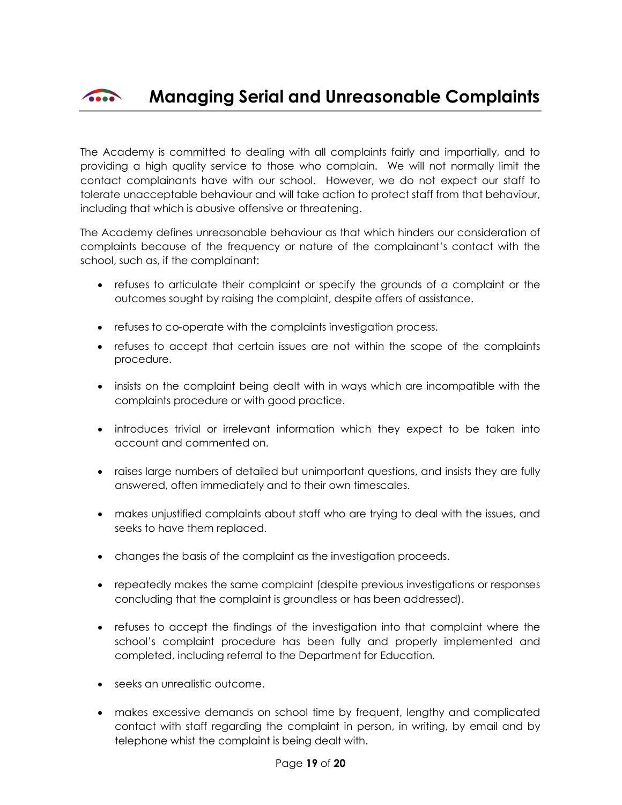

The Academy is committed to dealing with all complaints fairly and impartially, and to providing a high quality service to those who complain. We will not normally limit the contact complainants have with our school. However, we do not expect our staff to tolerate unacceptable behaviour and will take action to protect staff from that behaviour, including that which is abusive offensive or threatening.

The Academy defines unreasonable behaviour as that which hinders our consideration of complaints because of the frequency or nature of the complainant's contact with the school, such as, if the complainant:

- refuses to articulate their complaint or specify the grounds of a complaint or the outcomes sought by raising the complaint, despite offers of assistance.
- refuses to co-operate with the complaints investigation process.
- refuses to accept that certain issues are not within the scope of the complaints procedure.
- insists on the complaint being dealt with in ways which are incompatible with the complaints procedure or with good practice.
- introduces trivial or irrelevant information which they expect to be taken into account and commented on.
- raises large numbers of detailed but unimportant questions, and insists they are fully answered, often immediately and to their own timescales.
- makes unjustified complaints about staff who are trying to deal with the issues, and seeks to have them replaced.
- changes the basis of the complaint as the investigation proceeds.
- repeatedly makes the same complaint (despite previous investigations or responses concluding that the complaint is groundless or has been addressed).
- refuses to accept the findings of the investigation into that complaint where the school's complaint procedure has been fully and properly implemented and completed, including referral to the Department for Education.
- seeks an unrealistic outcome.
- makes excessive demands on school time by frequent, lengthy and complicated contact with staff regarding the complaint in person, in writing, by email and by telephone whist the complaint is being dealt with.